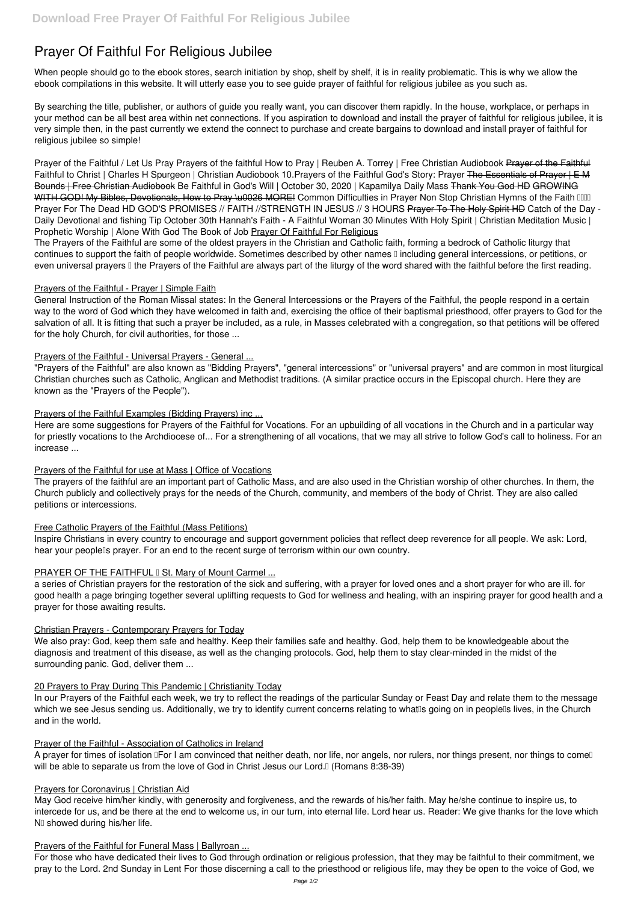# **Prayer Of Faithful For Religious Jubilee**

When people should go to the ebook stores, search initiation by shop, shelf by shelf, it is in reality problematic. This is why we allow the ebook compilations in this website. It will utterly ease you to see guide **prayer of faithful for religious jubilee** as you such as.

By searching the title, publisher, or authors of guide you really want, you can discover them rapidly. In the house, workplace, or perhaps in your method can be all best area within net connections. If you aspiration to download and install the prayer of faithful for religious jubilee, it is very simple then, in the past currently we extend the connect to purchase and create bargains to download and install prayer of faithful for religious jubilee so simple!

The Prayers of the Faithful are some of the oldest prayers in the Christian and Catholic faith, forming a bedrock of Catholic liturgy that continues to support the faith of people worldwide. Sometimes described by other names I including general intercessions, or petitions, or even universal prayers I the Prayers of the Faithful are always part of the liturgy of the word shared with the faithful before the first reading.

*Prayer of the Faithful / Let Us Pray Prayers of the faithful* **How to Pray | Reuben A. Torrey | Free Christian Audiobook** Prayer of the Faithful *Faithful to Christ | Charles H Spurgeon | Christian Audiobook 10.Prayers of the Faithful God's Story: Prayer* The Essentials of Prayer | E M Bounds | Free Christian Audiobook Be Faithful in God's Will | October 30, 2020 | Kapamilya Daily Mass Thank You God HD GROWING WITH GOD! My Bibles, Devotionals, How to Pray \u0026 MORE! Common Difficulties in Prayer Non Stop Christian Hymns of the Faith IIIII *Prayer For The Dead HD GOD'S PROMISES // FAITH //STRENGTH IN JESUS // 3 HOURS* Prayer To The Holy Spirit HD **Catch of the Day - Daily Devotional and fishing Tip October 30th Hannah's Faith - A Faithful Woman** *30 Minutes With Holy Spirit | Christian Meditation Music | Prophetic Worship | Alone With God* **The Book of Job** Prayer Of Faithful For Religious

Inspire Christians in every country to encourage and support government policies that reflect deep reverence for all people. We ask: Lord, hear your peoplells prayer. For an end to the recent surge of terrorism within our own country.

# PRAYER OF THE FAITHFUL I St. Mary of Mount Carmel ...

## Prayers of the Faithful - Prayer | Simple Faith

We also pray: God, keep them safe and healthy. Keep their families safe and healthy. God, help them to be knowledgeable about the diagnosis and treatment of this disease, as well as the changing protocols. God, help them to stay clear-minded in the midst of the surrounding panic. God, deliver them ...

General Instruction of the Roman Missal states: In the General Intercessions or the Prayers of the Faithful, the people respond in a certain way to the word of God which they have welcomed in faith and, exercising the office of their baptismal priesthood, offer prayers to God for the salvation of all. It is fitting that such a prayer be included, as a rule, in Masses celebrated with a congregation, so that petitions will be offered for the holy Church, for civil authorities, for those ...

## Prayers of the Faithful - Universal Prayers - General ...

May God receive him/her kindly, with generosity and forgiveness, and the rewards of his/her faith. May he/she continue to inspire us, to intercede for us, and be there at the end to welcome us, in our turn, into eternal life. Lord hear us. Reader: We give thanks for the love which Nu showed during his/her life.

#### Prayers of the Faithful for Funeral Mass | Ballyroan ...

"Prayers of the Faithful" are also known as "Bidding Prayers", "general intercessions" or "universal prayers" and are common in most liturgical Christian churches such as Catholic, Anglican and Methodist traditions. (A similar practice occurs in the Episcopal church. Here they are known as the "Prayers of the People").

## Prayers of the Faithful Examples (Bidding Prayers) inc ...

Here are some suggestions for Prayers of the Faithful for Vocations. For an upbuilding of all vocations in the Church and in a particular way for priestly vocations to the Archdiocese of... For a strengthening of all vocations, that we may all strive to follow God's call to holiness. For an increase ...

## Prayers of the Faithful for use at Mass | Office of Vocations

The prayers of the faithful are an important part of Catholic Mass, and are also used in the Christian worship of other churches. In them, the Church publicly and collectively prays for the needs of the Church, community, and members of the body of Christ. They are also called petitions or intercessions.

# Free Catholic Prayers of the Faithful (Mass Petitions)

a series of Christian prayers for the restoration of the sick and suffering, with a prayer for loved ones and a short prayer for who are ill. for good health a page bringing together several uplifting requests to God for wellness and healing, with an inspiring prayer for good health and a prayer for those awaiting results.

## Christian Prayers - Contemporary Prayers for Today

#### 20 Prayers to Pray During This Pandemic | Christianity Today

In our Prayers of the Faithful each week, we try to reflect the readings of the particular Sunday or Feast Day and relate them to the message which we see Jesus sending us. Additionally, we try to identify current concerns relating to what is going on in people is lives, in the Church and in the world.

### Prayer of the Faithful - Association of Catholics in Ireland

A prayer for times of isolation **IFor I am convinced that neither death**, nor life, nor angels, nor rulers, nor things present, nor things to come<sup>n</sup> will be able to separate us from the love of God in Christ Jesus our Lord.<sup>[]</sup> (Romans 8:38-39)

#### Prayers for Coronavirus | Christian Aid

For those who have dedicated their lives to God through ordination or religious profession, that they may be faithful to their commitment, we pray to the Lord. 2nd Sunday in Lent For those discerning a call to the priesthood or religious life, may they be open to the voice of God, we